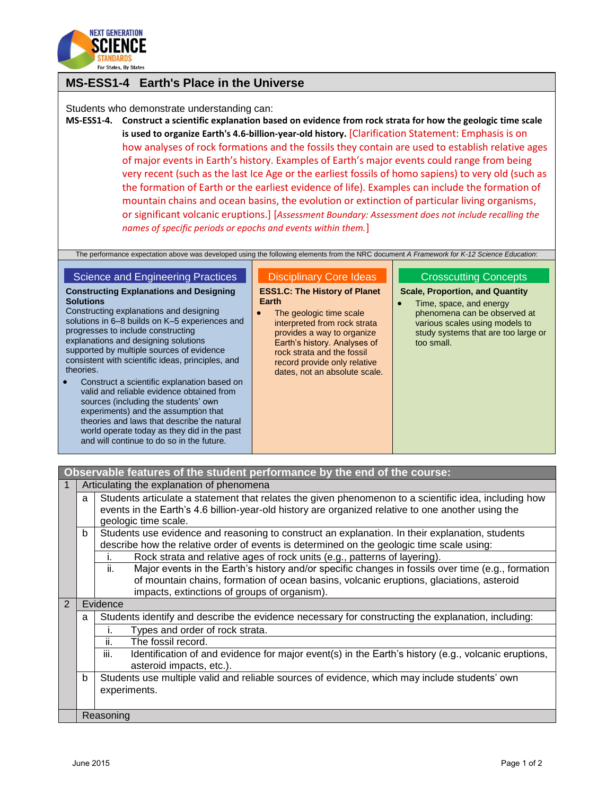

## **MS-ESS1-4 Earth's Place in the Universe**

Students who demonstrate understanding can:

**MS-ESS1-4. Construct a scientific explanation based on evidence from rock strata for how the geologic time scale is used to organize Earth's 4.6-billion-year-old history.** [Clarification Statement: Emphasis is on how analyses of rock formations and the fossils they contain are used to establish relative ages of major events in Earth's history. Examples of Earth's major events could range from being very recent (such as the last Ice Age or the earliest fossils of homo sapiens) to very old (such as the formation of Earth or the earliest evidence of life). Examples can include the formation of mountain chains and ocean basins, the evolution or extinction of particular living organisms, or significant volcanic eruptions.] [*Assessment Boundary: Assessment does not include recalling the names of specific periods or epochs and events within them.*]

The performance expectation above was developed using the following elements from the NRC document *A Framework for K-12 Science Education*:

## Science and Engineering Practices

**Constructing Explanations and Designing Solutions**

Constructing explanations and designing solutions in 6–8 builds on K–5 experiences and progresses to include constructing explanations and designing solutions supported by multiple sources of evidence consistent with scientific ideas, principles, and theories.

 Construct a scientific explanation based on valid and reliable evidence obtained from sources (including the students' own experiments) and the assumption that theories and laws that describe the natural world operate today as they did in the past and will continue to do so in the future.

## Disciplinary Core Ideas

**ESS1.C: The History of Planet Earth**

• The geologic time scale interpreted from rock strata provides a way to organize Earth's history. Analyses of rock strata and the fossil record provide only relative dates, not an absolute scale.

## Crosscutting Concepts

**Scale, Proportion, and Quantity**

• Time, space, and energy phenomena can be observed at various scales using models to study systems that are too large or too small.

|                |                                           | Observable features of the student performance by the end of the course:                                                                                                                                                                             |  |  |
|----------------|-------------------------------------------|------------------------------------------------------------------------------------------------------------------------------------------------------------------------------------------------------------------------------------------------------|--|--|
|                | Articulating the explanation of phenomena |                                                                                                                                                                                                                                                      |  |  |
|                | a                                         | Students articulate a statement that relates the given phenomenon to a scientific idea, including how<br>events in the Earth's 4.6 billion-year-old history are organized relative to one another using the<br>geologic time scale.                  |  |  |
|                | b                                         | Students use evidence and reasoning to construct an explanation. In their explanation, students<br>describe how the relative order of events is determined on the geologic time scale using:                                                         |  |  |
|                |                                           | Rock strata and relative ages of rock units (e.g., patterns of layering).                                                                                                                                                                            |  |  |
|                |                                           | Major events in the Earth's history and/or specific changes in fossils over time (e.g., formation<br>ii.<br>of mountain chains, formation of ocean basins, volcanic eruptions, glaciations, asteroid<br>impacts, extinctions of groups of organism). |  |  |
| $\overline{2}$ |                                           | Evidence                                                                                                                                                                                                                                             |  |  |
|                | a                                         | Students identify and describe the evidence necessary for constructing the explanation, including:                                                                                                                                                   |  |  |
|                |                                           | Types and order of rock strata.                                                                                                                                                                                                                      |  |  |
|                |                                           | ii.<br>The fossil record.                                                                                                                                                                                                                            |  |  |
|                |                                           | iii.<br>Identification of and evidence for major event(s) in the Earth's history (e.g., volcanic eruptions,<br>asteroid impacts, etc.).                                                                                                              |  |  |
|                | b                                         | Students use multiple valid and reliable sources of evidence, which may include students' own<br>experiments.                                                                                                                                        |  |  |
|                |                                           | Reasoning                                                                                                                                                                                                                                            |  |  |